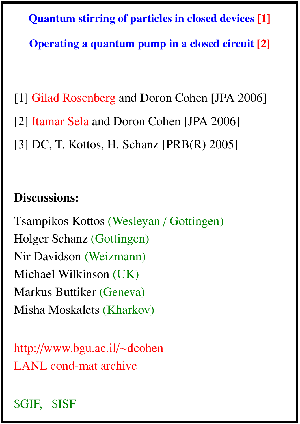Quantum stirring of particles in closed devices [1] Operating a quantum pump in a closed circuit [2]

[1] Gilad Rosenberg and Doron Cohen [JPA 2006] [2] Itamar Sela and Doron Cohen [JPA 2006] [3] DC, T. Kottos, H. Schanz [PRB(R) 2005]

# Discussions:

Tsampikos Kottos (Wesleyan / Gottingen) Holger Schanz (Gottingen) Nir Davidson (Weizmann) Michael Wilkinson (UK) Markus Buttiker (Geneva) Misha Moskalets (Kharkov)

http://www.bgu.ac.il/∼dcohen LANL cond-mat archive

# \$GIF, \$ISF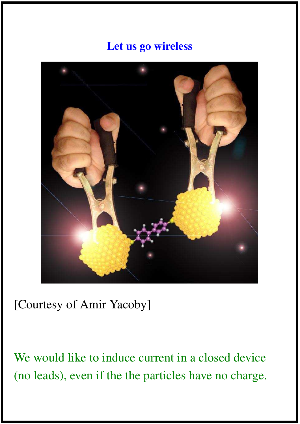## Let us go wireless



[Courtesy of Amir Yacoby]

We would like to induce current in a closed device (no leads), even if the the particles have no charge.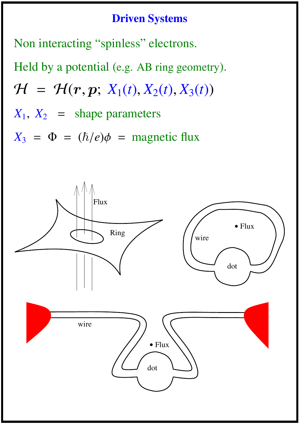## Driven Systems

Non interacting "spinless" electrons.

Held by a potential (e.g. AB ring geometry).  $H = H(r, p; X_1(t), X_2(t), X_3(t))$  $X_1, X_2$  = shape parameters  $X_3 = \Phi = (\hbar/e)\phi =$  magnetic flux

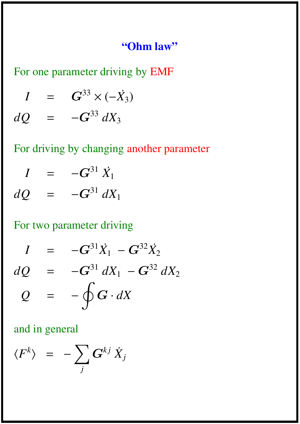#### "Ohm law"

For one parameter driving by EMF

*I* =  $G^{33} \times (-X_3)$ *dQ* =  $-G^{33} dX_3$ 

# For driving by changing another parameter

$$
I = -G^{31} \dot{X}_1
$$
  

$$
dQ = -G^{31} dX_1
$$

$$
\tilde{z} = \frac{1}{2} \left( \frac{1}{2} \right)^2
$$

## For two parameter driving

$$
I = -G^{31}\dot{X}_1 - G^{32}\dot{X}_2
$$
  

$$
dQ = -G^{31} dX_1 - G^{32} dX_2
$$
  

$$
Q = -\oint G \cdot dX
$$

### and in general

$$
\langle F^k \rangle = - \sum_j G^{kj} \dot{X}_j
$$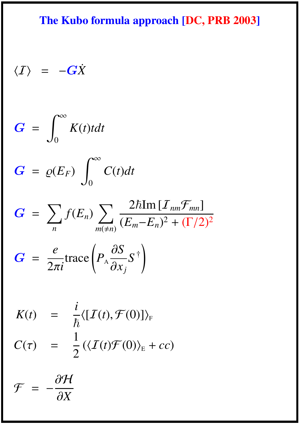# The Kubo formula approach [DC, PRB 2003]

$$
\langle I \rangle = -G\dot{X}
$$

$$
G = \int_0^\infty K(t) t dt
$$

$$
G = \varrho(E_F) \int_0^\infty C(t) dt
$$

$$
G = \sum_{n} f(E_n) \sum_{m(\neq n)} \frac{2\hbar \text{Im} [I_{nm} \mathcal{F}_{mn}]}{(E_m - E_n)^2 + (\Gamma/2)^2}
$$

$$
G = \frac{e}{2\pi i} \text{trace} \left( P_A \frac{\partial S}{\partial x_j} S^{\dagger} \right)
$$

$$
K(t) = \frac{i}{\hbar} \langle [I(t), \mathcal{F}(0)] \rangle_{F}
$$
  

$$
C(\tau) = \frac{1}{2} (\langle I(t) \mathcal{F}(0) \rangle_{E} + cc)
$$

$$
\mathcal{F} = -\frac{\partial \mathcal{H}}{\partial X}
$$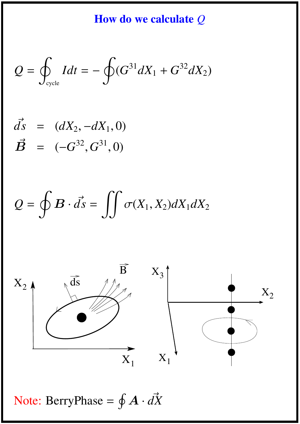How do we calculate *Q*

$$
Q = \oint_{\text{cycle}} I dt = - \oint (G^{31} dX_1 + G^{32} dX_2)
$$

$$
\vec{B} = (dX_2, -dX_1, 0) \n\vec{B} = (-G^{32}, G^{31}, 0)
$$

$$
Q = \oint \mathbf{B} \cdot d\vec{s} = \iint \sigma(X_1, X_2) dX_1 dX_2
$$



Note: BerryPhase =  $\oint \mathbf{A} \cdot d\vec{X}$  $\iota$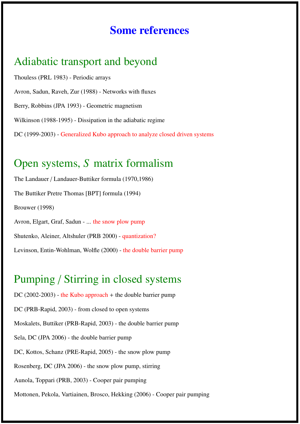#### Some references

#### Adiabatic transport and beyond

Thouless (PRL 1983) - Periodic arrays Avron, Sadun, Raveh, Zur (1988) - Networks with fluxes Berry, Robbins (JPA 1993) - Geometric magnetism Wilkinson (1988-1995) - Dissipation in the adiabatic regime DC (1999-2003) - Generalized Kubo approach to analyze closed driven systems

#### Open systems, *S* matrix formalism

The Landauer / Landauer-Buttiker formula (1970,1986) The Buttiker Pretre Thomas [BPT] formula (1994) Brouwer (1998) Avron, Elgart, Graf, Sadun - ... the snow plow pump Shutenko, Aleiner, Altshuler (PRB 2000) - quantization? Levinson, Entin-Wohlman, Wolfle (2000) - the double barrier pump

## Pumping / Stirring in closed systems

DC (2002-2003) - the Kubo approach + the double barrier pump DC (PRB-Rapid, 2003) - from closed to open systems Moskalets, Buttiker (PRB-Rapid, 2003) - the double barrier pump Sela, DC (JPA 2006) - the double barrier pump DC, Kottos, Schanz (PRE-Rapid, 2005) - the snow plow pump Rosenberg, DC (JPA 2006) - the snow plow pump, stirring Aunola, Toppari (PRB, 2003) - Cooper pair pumping Mottonen, Pekola, Vartiainen, Brosco, Hekking (2006) - Cooper pair pumping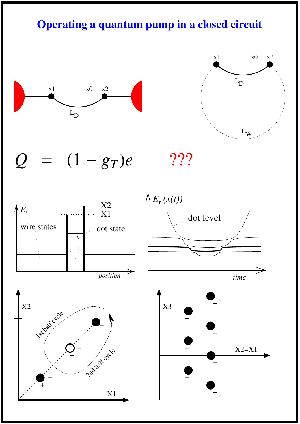## Operating a quantum pump in a closed circuit





 $Q = (1 - g_T)e$  ???





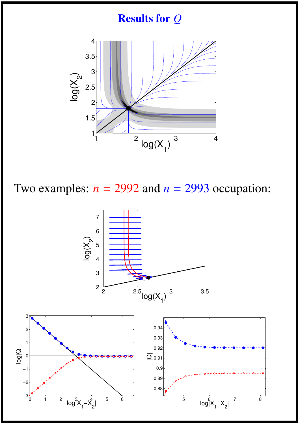

Two examples:  $n = 2992$  and  $n = 2993$  occupation:

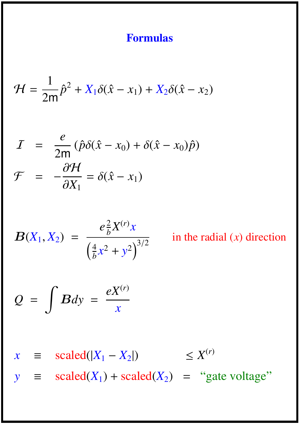### Formulas

$$
\mathcal{H} = \frac{1}{2m}\hat{p}^2 + X_1\delta(\hat{x} - x_1) + X_2\delta(\hat{x} - x_2)
$$

$$
I = \frac{e}{2m} (\hat{p}\delta(\hat{x} - x_0) + \delta(\hat{x} - x_0)\hat{p})
$$

$$
\mathcal{F} = -\frac{\partial \mathcal{H}}{\partial X_1} = \delta(\hat{x} - x_1)
$$

$$
B(X_1, X_2) = \frac{e_b^2 X^{(r)} x}{\left(\frac{4}{b}x^2 + y^2\right)^{3/2}}
$$

in the radial (*x*) direction

$$
Q = \int Bdy = \frac{eX^{(r)}}{x}
$$

 $x \equiv \text{scaled}(|X_1 - X_2|) \leq X^{(r)}$ *y*  $\equiv$  scaled(*X*<sub>1</sub>) + scaled(*X*<sub>2</sub>) = "gate voltage"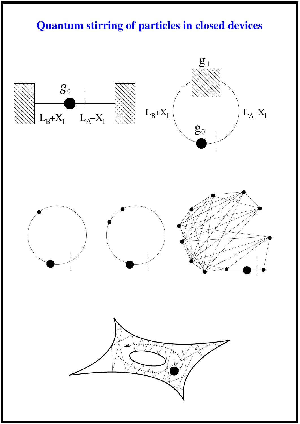# Quantum stirring of particles in closed devices

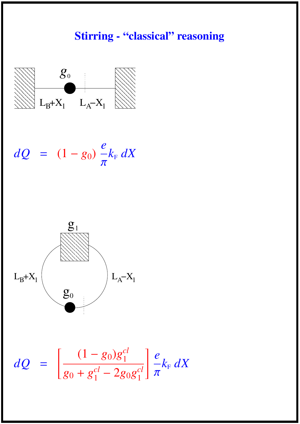# Stirring - "classical" reasoning



$$
dQ = (1 - g_0) \frac{e}{\pi} k_{\rm F} dX
$$



$$
dQ = \left[\frac{(1 - g_0)g_1^{cl}}{g_0 + g_1^{cl} - 2g_0g_1^{cl}}\right] \frac{e}{\pi} k_{\rm F} dX
$$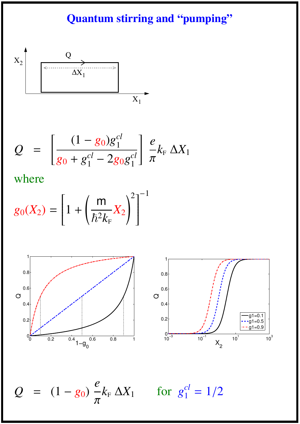# Quantum stirring and "pumping"



$$
Q = \left[\frac{(1 - g_0)g_1^{cl}}{g_0 + g_1^{cl} - 2g_0g_1^{cl}}\right] \frac{e}{\pi} k_{\rm F} \Delta X_1
$$

where

$$
g_0(X_2) = \left[1 + \left(\frac{m}{\hbar^2 k_{\rm F}} X_2\right)^2\right]^{-1}
$$





 $Q = (1 - g_0)$ *e* π

 $k_{\text{\tiny F}}$   $\Delta X_1$  for  $g_1^{cl}$ 1  $= 1/2$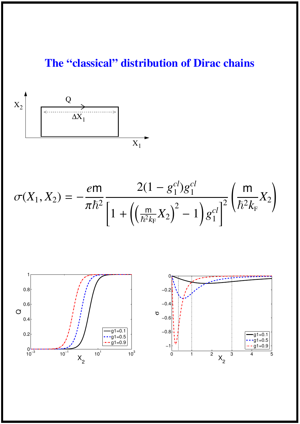# The "classical" distribution of Dirac chains



$$
\sigma(X_1, X_2) = -\frac{e\mathsf{m}}{\pi\hbar^2} \frac{2(1 - g_1^{cl})g_1^{cl}}{\left[1 + \left(\left(\frac{\mathsf{m}}{\hbar^2 k_F} X_2\right)^2 - 1\right)g_1^{cl}\right]^2} \left(\frac{\mathsf{m}}{\hbar^2 k_F} X_2\right)
$$

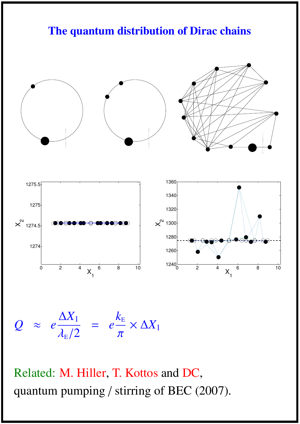### The quantum distribution of Dirac chains



*Q* ≈ *e*  $\Delta X_1$  $\lambda_{\text{\tiny E}}/2$ = *e*  $k_{\rm E}$ π  $\times$   $\Delta X_1$ 

Related: M. Hiller, T. Kottos and DC, quantum pumping / stirring of BEC (2007).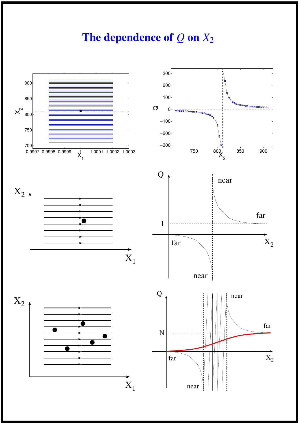## The dependence of *Q* on *X*<sup>2</sup>

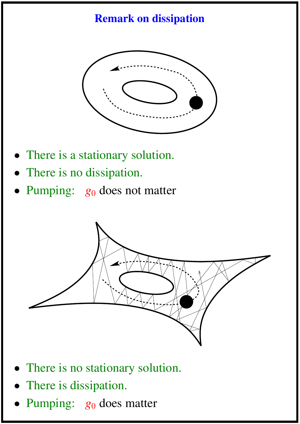# Remark on dissipation



- There is a stationary solution.
- There is no dissipation.
- Pumping:  $g_0$  does not matter



- There is no stationary solution.
- There is dissipation.
- Pumping:  $g_0$  does matter